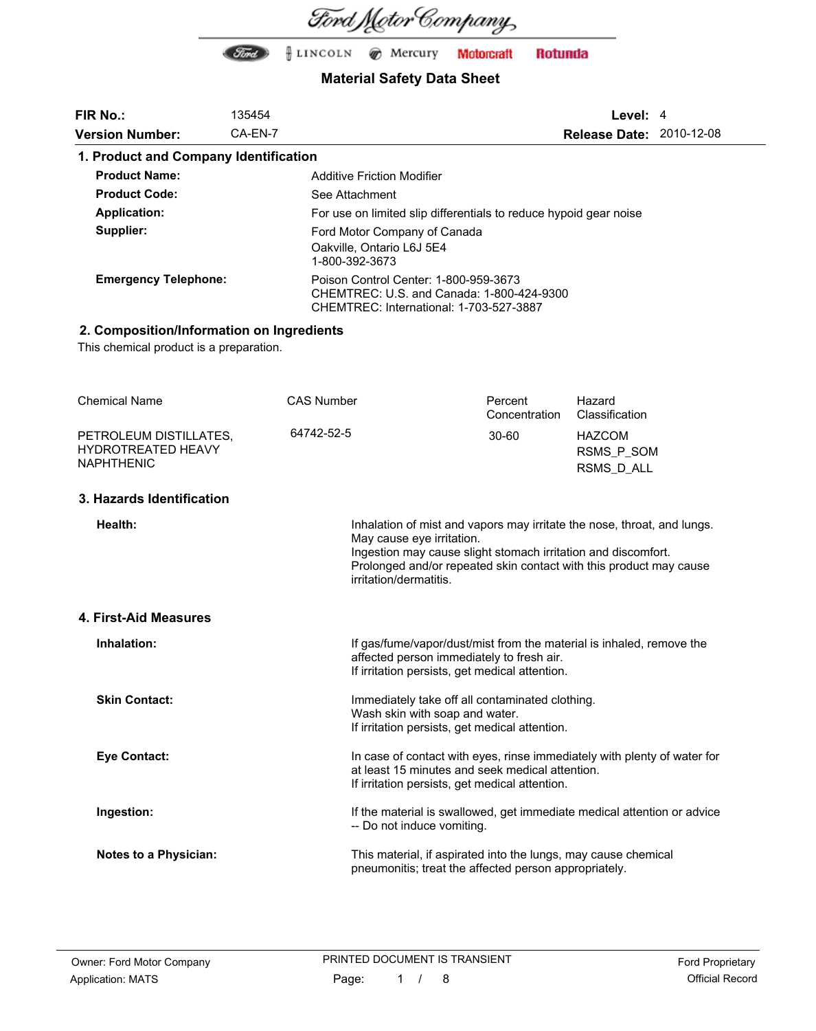

| <b>FIR No.:</b>                                | 135454            |                                                                                                                                     |                                                                                                                                                                               | Level: $4$                                                                                                                                    |  |
|------------------------------------------------|-------------------|-------------------------------------------------------------------------------------------------------------------------------------|-------------------------------------------------------------------------------------------------------------------------------------------------------------------------------|-----------------------------------------------------------------------------------------------------------------------------------------------|--|
| <b>Version Number:</b>                         | CA-EN-7           |                                                                                                                                     |                                                                                                                                                                               | <b>Release Date: 2010-12-08</b>                                                                                                               |  |
| 1. Product and Company Identification          |                   |                                                                                                                                     |                                                                                                                                                                               |                                                                                                                                               |  |
| <b>Product Name:</b>                           |                   | <b>Additive Friction Modifier</b>                                                                                                   |                                                                                                                                                                               |                                                                                                                                               |  |
| <b>Product Code:</b>                           |                   | See Attachment                                                                                                                      |                                                                                                                                                                               |                                                                                                                                               |  |
| <b>Application:</b>                            |                   |                                                                                                                                     | For use on limited slip differentials to reduce hypoid gear noise                                                                                                             |                                                                                                                                               |  |
| Supplier:                                      |                   | Ford Motor Company of Canada                                                                                                        |                                                                                                                                                                               |                                                                                                                                               |  |
|                                                |                   | Oakville, Ontario L6J 5E4<br>1-800-392-3673                                                                                         |                                                                                                                                                                               |                                                                                                                                               |  |
| <b>Emergency Telephone:</b>                    |                   | Poison Control Center: 1-800-959-3673                                                                                               | CHEMTREC: U.S. and Canada: 1-800-424-9300<br>CHEMTREC: International: 1-703-527-3887                                                                                          |                                                                                                                                               |  |
| 2. Composition/Information on Ingredients      |                   |                                                                                                                                     |                                                                                                                                                                               |                                                                                                                                               |  |
| This chemical product is a preparation.        |                   |                                                                                                                                     |                                                                                                                                                                               |                                                                                                                                               |  |
|                                                |                   |                                                                                                                                     |                                                                                                                                                                               |                                                                                                                                               |  |
| <b>Chemical Name</b>                           | <b>CAS Number</b> |                                                                                                                                     | Percent                                                                                                                                                                       | Hazard                                                                                                                                        |  |
|                                                |                   |                                                                                                                                     | Concentration                                                                                                                                                                 | Classification                                                                                                                                |  |
| PETROLEUM DISTILLATES,                         | 64742-52-5        |                                                                                                                                     | $30 - 60$                                                                                                                                                                     | <b>HAZCOM</b>                                                                                                                                 |  |
| <b>HYDROTREATED HEAVY</b><br><b>NAPHTHENIC</b> |                   |                                                                                                                                     |                                                                                                                                                                               | RSMS_P_SOM                                                                                                                                    |  |
|                                                |                   |                                                                                                                                     |                                                                                                                                                                               | RSMS_D_ALL                                                                                                                                    |  |
| 3. Hazards Identification                      |                   |                                                                                                                                     |                                                                                                                                                                               |                                                                                                                                               |  |
| Health:                                        |                   | May cause eye irritation.<br>irritation/dermatitis.                                                                                 | Ingestion may cause slight stomach irritation and discomfort.                                                                                                                 | Inhalation of mist and vapors may irritate the nose, throat, and lungs.<br>Prolonged and/or repeated skin contact with this product may cause |  |
| 4. First-Aid Measures                          |                   |                                                                                                                                     |                                                                                                                                                                               |                                                                                                                                               |  |
| Inhalation:                                    |                   |                                                                                                                                     | affected person immediately to fresh air.<br>If irritation persists, get medical attention.                                                                                   | If gas/fume/vapor/dust/mist from the material is inhaled, remove the                                                                          |  |
| <b>Skin Contact:</b>                           |                   | Immediately take off all contaminated clothing.<br>Wash skin with soap and water.<br>If irritation persists, get medical attention. |                                                                                                                                                                               |                                                                                                                                               |  |
| <b>Eye Contact:</b>                            |                   |                                                                                                                                     | In case of contact with eyes, rinse immediately with plenty of water for<br>at least 15 minutes and seek medical attention.<br>If irritation persists, get medical attention. |                                                                                                                                               |  |
| Ingestion:                                     |                   | -- Do not induce vomiting.                                                                                                          |                                                                                                                                                                               | If the material is swallowed, get immediate medical attention or advice                                                                       |  |
| <b>Notes to a Physician:</b>                   |                   |                                                                                                                                     | This material, if aspirated into the lungs, may cause chemical<br>pneumonitis; treat the affected person appropriately.                                                       |                                                                                                                                               |  |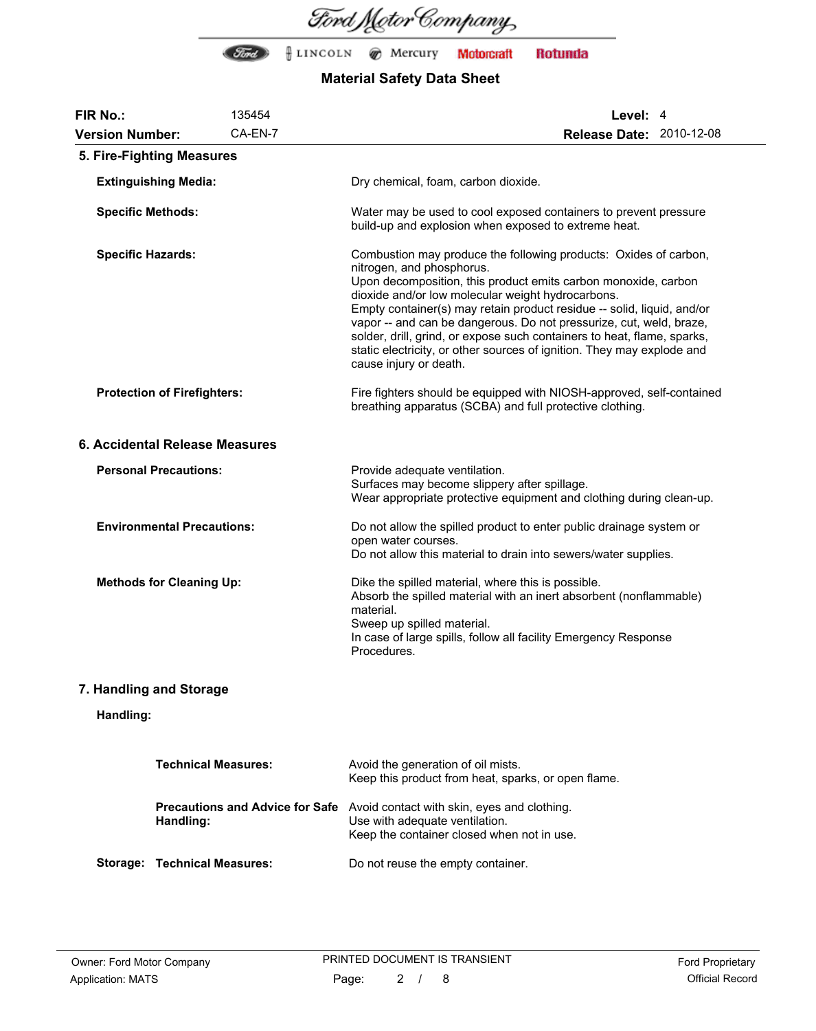

| <b>FIR No.:</b>                    | 135454                                              | Level: 4                                                                                                                                                                                                                                                                                                                                                                                                                                                                                                                                             |  |  |
|------------------------------------|-----------------------------------------------------|------------------------------------------------------------------------------------------------------------------------------------------------------------------------------------------------------------------------------------------------------------------------------------------------------------------------------------------------------------------------------------------------------------------------------------------------------------------------------------------------------------------------------------------------------|--|--|
| <b>Version Number:</b>             | CA-EN-7                                             | <b>Release Date: 2010-12-08</b>                                                                                                                                                                                                                                                                                                                                                                                                                                                                                                                      |  |  |
|                                    | 5. Fire-Fighting Measures                           |                                                                                                                                                                                                                                                                                                                                                                                                                                                                                                                                                      |  |  |
| <b>Extinguishing Media:</b>        |                                                     | Dry chemical, foam, carbon dioxide.                                                                                                                                                                                                                                                                                                                                                                                                                                                                                                                  |  |  |
| <b>Specific Methods:</b>           |                                                     | Water may be used to cool exposed containers to prevent pressure<br>build-up and explosion when exposed to extreme heat.                                                                                                                                                                                                                                                                                                                                                                                                                             |  |  |
| <b>Specific Hazards:</b>           |                                                     | Combustion may produce the following products: Oxides of carbon,<br>nitrogen, and phosphorus.<br>Upon decomposition, this product emits carbon monoxide, carbon<br>dioxide and/or low molecular weight hydrocarbons.<br>Empty container(s) may retain product residue -- solid, liquid, and/or<br>vapor -- and can be dangerous. Do not pressurize, cut, weld, braze,<br>solder, drill, grind, or expose such containers to heat, flame, sparks,<br>static electricity, or other sources of ignition. They may explode and<br>cause injury or death. |  |  |
| <b>Protection of Firefighters:</b> |                                                     | Fire fighters should be equipped with NIOSH-approved, self-contained<br>breathing apparatus (SCBA) and full protective clothing.                                                                                                                                                                                                                                                                                                                                                                                                                     |  |  |
|                                    | 6. Accidental Release Measures                      |                                                                                                                                                                                                                                                                                                                                                                                                                                                                                                                                                      |  |  |
| <b>Personal Precautions:</b>       |                                                     | Provide adequate ventilation.<br>Surfaces may become slippery after spillage.<br>Wear appropriate protective equipment and clothing during clean-up.                                                                                                                                                                                                                                                                                                                                                                                                 |  |  |
| <b>Environmental Precautions:</b>  |                                                     | Do not allow the spilled product to enter public drainage system or<br>open water courses.<br>Do not allow this material to drain into sewers/water supplies.                                                                                                                                                                                                                                                                                                                                                                                        |  |  |
| <b>Methods for Cleaning Up:</b>    |                                                     | Dike the spilled material, where this is possible.<br>Absorb the spilled material with an inert absorbent (nonflammable)<br>material.<br>Sweep up spilled material.<br>In case of large spills, follow all facility Emergency Response<br>Procedures.                                                                                                                                                                                                                                                                                                |  |  |
|                                    | 7. Handling and Storage                             |                                                                                                                                                                                                                                                                                                                                                                                                                                                                                                                                                      |  |  |
| Handling:                          |                                                     |                                                                                                                                                                                                                                                                                                                                                                                                                                                                                                                                                      |  |  |
|                                    | <b>Technical Measures:</b>                          | Avoid the generation of oil mists.<br>Keep this product from heat, sparks, or open flame.                                                                                                                                                                                                                                                                                                                                                                                                                                                            |  |  |
|                                    | <b>Precautions and Advice for Safe</b><br>Handling: | Avoid contact with skin, eyes and clothing.<br>Use with adequate ventilation.<br>Keep the container closed when not in use.                                                                                                                                                                                                                                                                                                                                                                                                                          |  |  |
|                                    | <b>Storage: Technical Measures:</b>                 | Do not reuse the empty container.                                                                                                                                                                                                                                                                                                                                                                                                                                                                                                                    |  |  |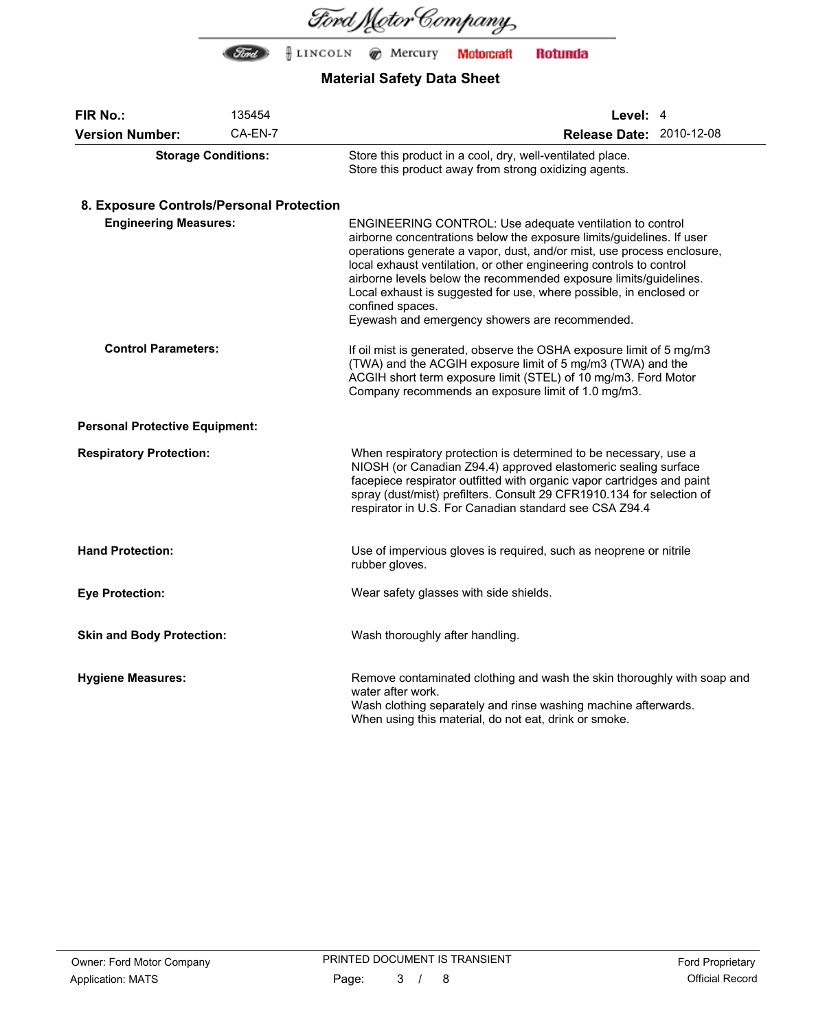

| FIR No.:                                 | 135454  | Level: 4                                                                                                                                                                                                                                                                                                                                                                                                                                                                                            |  |  |
|------------------------------------------|---------|-----------------------------------------------------------------------------------------------------------------------------------------------------------------------------------------------------------------------------------------------------------------------------------------------------------------------------------------------------------------------------------------------------------------------------------------------------------------------------------------------------|--|--|
| <b>Version Number:</b>                   | CA-EN-7 | Release Date: 2010-12-08                                                                                                                                                                                                                                                                                                                                                                                                                                                                            |  |  |
| <b>Storage Conditions:</b>               |         | Store this product in a cool, dry, well-ventilated place.<br>Store this product away from strong oxidizing agents.                                                                                                                                                                                                                                                                                                                                                                                  |  |  |
| 8. Exposure Controls/Personal Protection |         |                                                                                                                                                                                                                                                                                                                                                                                                                                                                                                     |  |  |
| <b>Engineering Measures:</b>             |         | ENGINEERING CONTROL: Use adequate ventilation to control<br>airborne concentrations below the exposure limits/guidelines. If user<br>operations generate a vapor, dust, and/or mist, use process enclosure,<br>local exhaust ventilation, or other engineering controls to control<br>airborne levels below the recommended exposure limits/guidelines.<br>Local exhaust is suggested for use, where possible, in enclosed or<br>confined spaces.<br>Eyewash and emergency showers are recommended. |  |  |
| <b>Control Parameters:</b>               |         | If oil mist is generated, observe the OSHA exposure limit of 5 mg/m3<br>(TWA) and the ACGIH exposure limit of 5 mg/m3 (TWA) and the<br>ACGIH short term exposure limit (STEL) of 10 mg/m3. Ford Motor<br>Company recommends an exposure limit of 1.0 mg/m3.                                                                                                                                                                                                                                         |  |  |
| <b>Personal Protective Equipment:</b>    |         |                                                                                                                                                                                                                                                                                                                                                                                                                                                                                                     |  |  |
| <b>Respiratory Protection:</b>           |         | When respiratory protection is determined to be necessary, use a<br>NIOSH (or Canadian Z94.4) approved elastomeric sealing surface<br>facepiece respirator outfitted with organic vapor cartridges and paint<br>spray (dust/mist) prefilters. Consult 29 CFR1910.134 for selection of<br>respirator in U.S. For Canadian standard see CSA Z94.4                                                                                                                                                     |  |  |
| <b>Hand Protection:</b>                  |         | Use of impervious gloves is required, such as neoprene or nitrile<br>rubber gloves.                                                                                                                                                                                                                                                                                                                                                                                                                 |  |  |
| <b>Eye Protection:</b>                   |         | Wear safety glasses with side shields.                                                                                                                                                                                                                                                                                                                                                                                                                                                              |  |  |
| <b>Skin and Body Protection:</b>         |         | Wash thoroughly after handling.                                                                                                                                                                                                                                                                                                                                                                                                                                                                     |  |  |
| <b>Hygiene Measures:</b>                 |         | Remove contaminated clothing and wash the skin thoroughly with soap and<br>water after work.<br>Wash clothing separately and rinse washing machine afterwards.<br>When using this material, do not eat, drink or smoke.                                                                                                                                                                                                                                                                             |  |  |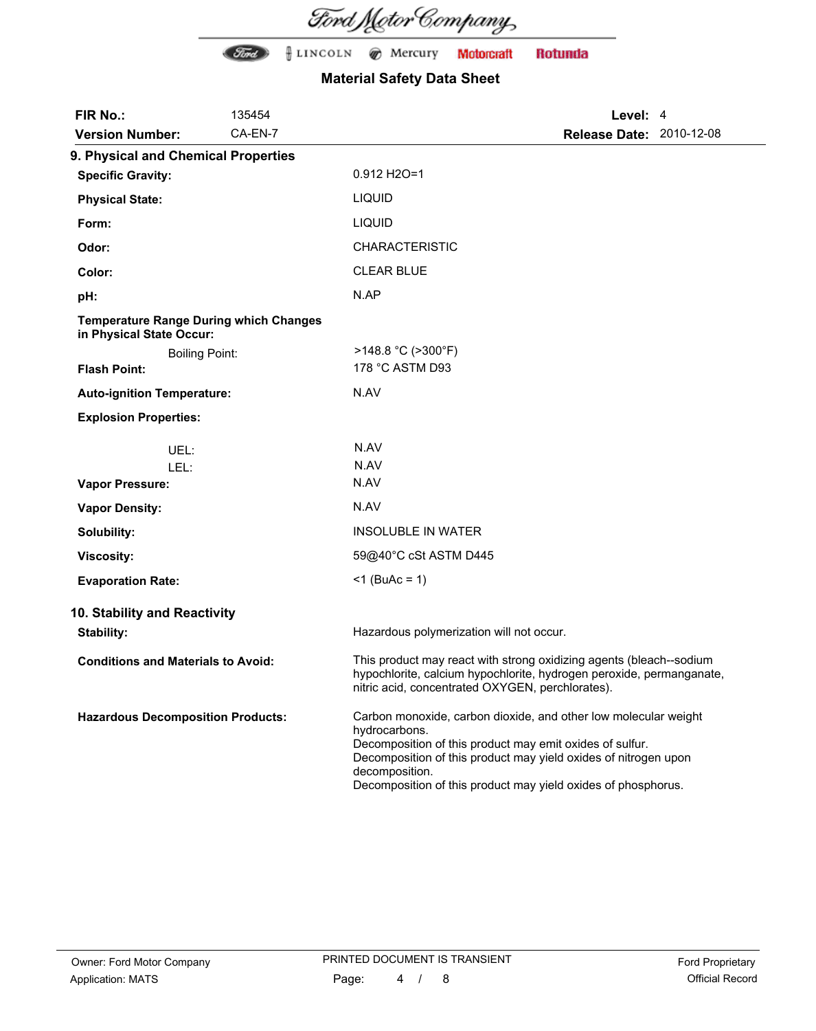Ford Motor Company

| <b>FIR No.:</b>                                                           | 135454  | Level: 4                                                                                                                                                                                                                                                                                           |  |
|---------------------------------------------------------------------------|---------|----------------------------------------------------------------------------------------------------------------------------------------------------------------------------------------------------------------------------------------------------------------------------------------------------|--|
| <b>Version Number:</b>                                                    | CA-EN-7 | <b>Release Date: 2010-12-08</b>                                                                                                                                                                                                                                                                    |  |
| 9. Physical and Chemical Properties                                       |         |                                                                                                                                                                                                                                                                                                    |  |
| <b>Specific Gravity:</b>                                                  |         | 0.912 H2O=1                                                                                                                                                                                                                                                                                        |  |
| <b>Physical State:</b>                                                    |         | <b>LIQUID</b>                                                                                                                                                                                                                                                                                      |  |
| Form:                                                                     |         | <b>LIQUID</b>                                                                                                                                                                                                                                                                                      |  |
| Odor:                                                                     |         | <b>CHARACTERISTIC</b>                                                                                                                                                                                                                                                                              |  |
| Color:                                                                    |         | <b>CLEAR BLUE</b>                                                                                                                                                                                                                                                                                  |  |
| pH:                                                                       |         | N.AP                                                                                                                                                                                                                                                                                               |  |
| <b>Temperature Range During which Changes</b><br>in Physical State Occur: |         |                                                                                                                                                                                                                                                                                                    |  |
| <b>Boiling Point:</b>                                                     |         | $>148.8$ °C ( $>300$ °F)                                                                                                                                                                                                                                                                           |  |
| <b>Flash Point:</b>                                                       |         | 178 °C ASTM D93                                                                                                                                                                                                                                                                                    |  |
| <b>Auto-ignition Temperature:</b>                                         |         | N.AV                                                                                                                                                                                                                                                                                               |  |
| <b>Explosion Properties:</b>                                              |         |                                                                                                                                                                                                                                                                                                    |  |
| UEL:                                                                      |         | N.AV                                                                                                                                                                                                                                                                                               |  |
| LEL:                                                                      |         | N.AV                                                                                                                                                                                                                                                                                               |  |
| <b>Vapor Pressure:</b>                                                    |         | N.AV                                                                                                                                                                                                                                                                                               |  |
| <b>Vapor Density:</b>                                                     |         | N.AV                                                                                                                                                                                                                                                                                               |  |
| Solubility:                                                               |         | <b>INSOLUBLE IN WATER</b>                                                                                                                                                                                                                                                                          |  |
| <b>Viscosity:</b>                                                         |         | 59@40°C cSt ASTM D445                                                                                                                                                                                                                                                                              |  |
| <b>Evaporation Rate:</b>                                                  |         | $<$ 1 (BuAc = 1)                                                                                                                                                                                                                                                                                   |  |
| 10. Stability and Reactivity                                              |         |                                                                                                                                                                                                                                                                                                    |  |
| <b>Stability:</b>                                                         |         | Hazardous polymerization will not occur.                                                                                                                                                                                                                                                           |  |
| <b>Conditions and Materials to Avoid:</b>                                 |         | This product may react with strong oxidizing agents (bleach--sodium<br>hypochlorite, calcium hypochlorite, hydrogen peroxide, permanganate,<br>nitric acid, concentrated OXYGEN, perchlorates).                                                                                                    |  |
| <b>Hazardous Decomposition Products:</b>                                  |         | Carbon monoxide, carbon dioxide, and other low molecular weight<br>hydrocarbons.<br>Decomposition of this product may emit oxides of sulfur.<br>Decomposition of this product may yield oxides of nitrogen upon<br>decomposition.<br>Decomposition of this product may yield oxides of phosphorus. |  |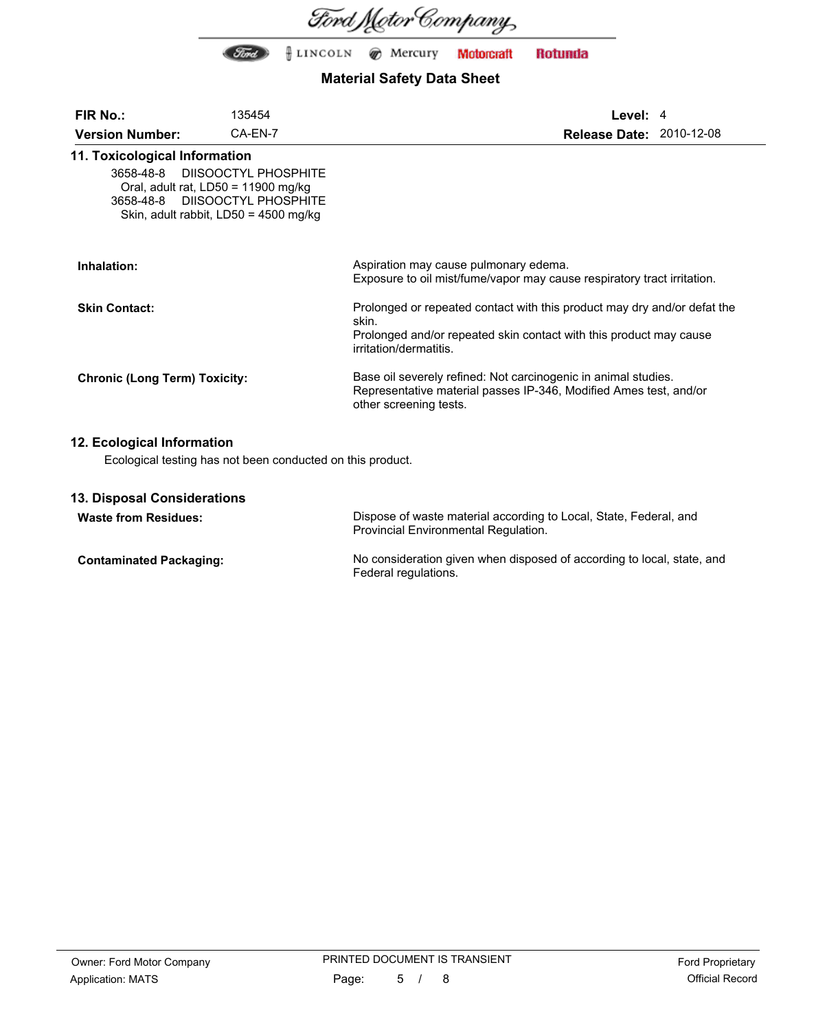

## **Material Safety Data Sheet**

| <b>FIR No.:</b>                      | 135454                                                                                                           |                                                                                                                                                                                   | Level: $4$ |                                 |
|--------------------------------------|------------------------------------------------------------------------------------------------------------------|-----------------------------------------------------------------------------------------------------------------------------------------------------------------------------------|------------|---------------------------------|
| <b>Version Number:</b>               | CA-EN-7                                                                                                          |                                                                                                                                                                                   |            | <b>Release Date: 2010-12-08</b> |
| 11. Toxicological Information        | 3658-48-8 DIISOOCTYL PHOSPHITE                                                                                   |                                                                                                                                                                                   |            |                                 |
|                                      | Oral, adult rat, $LD50 = 11900$ mg/kg<br>3658-48-8 DIISOOCTYL PHOSPHITE<br>Skin, adult rabbit, LD50 = 4500 mg/kg |                                                                                                                                                                                   |            |                                 |
| Inhalation:                          |                                                                                                                  | Aspiration may cause pulmonary edema.<br>Exposure to oil mist/fume/vapor may cause respiratory tract irritation.                                                                  |            |                                 |
| <b>Skin Contact:</b>                 |                                                                                                                  | Prolonged or repeated contact with this product may dry and/or defat the<br>skin.<br>Prolonged and/or repeated skin contact with this product may cause<br>irritation/dermatitis. |            |                                 |
| <b>Chronic (Long Term) Toxicity:</b> |                                                                                                                  | Base oil severely refined: Not carcinogenic in animal studies.<br>Representative material passes IP-346, Modified Ames test, and/or<br>other screening tests.                     |            |                                 |

### **12. Ecological Information**

Ecological testing has not been conducted on this product.

#### **13. Disposal Considerations**

| <b>Waste from Residues:</b>    | Dispose of waste material according to Local, State, Federal, and<br>Provincial Environmental Regulation. |
|--------------------------------|-----------------------------------------------------------------------------------------------------------|
| <b>Contaminated Packaging:</b> | No consideration given when disposed of according to local, state, and<br>Federal regulations.            |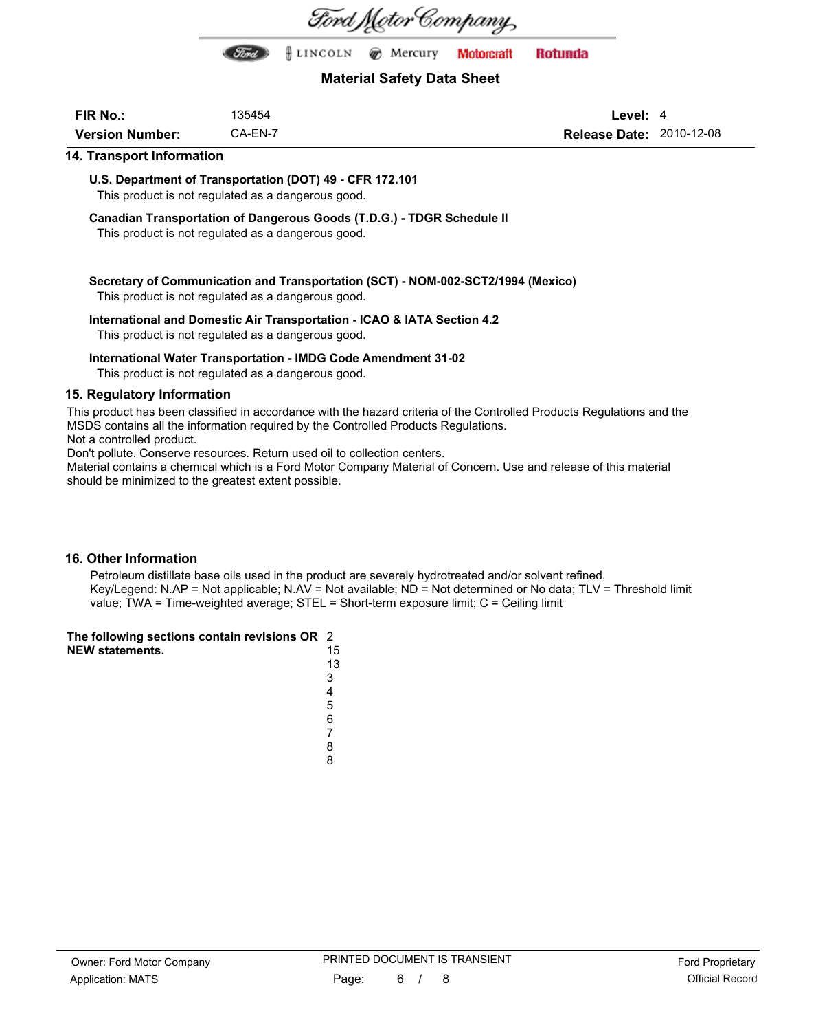

First) | LINGOLN @ Mercury **Motorcraft Rotunda** 

### **Material Safety Data Sheet**

| <b>FIR No.:</b>        | 135454  |
|------------------------|---------|
| <b>Version Number:</b> | CA-EN-7 |

**Level:** 4 **Release Date:** 2010-12-08

#### **14. Transport Information**

**U.S. Department of Transportation (DOT) 49 - CFR 172.101** This product is not regulated as a dangerous good.

**Canadian Transportation of Dangerous Goods (T.D.G.) - TDGR Schedule II**

This product is not regulated as a dangerous good.

#### **Secretary of Communication and Transportation (SCT) - NOM-002-SCT2/1994 (Mexico)** This product is not regulated as a dangerous good.

#### **International and Domestic Air Transportation - ICAO & IATA Section 4.2**

This product is not regulated as a dangerous good.

#### **International Water Transportation - IMDG Code Amendment 31-02**

This product is not regulated as a dangerous good.

#### **15. Regulatory Information**

This product has been classified in accordance with the hazard criteria of the Controlled Products Regulations and the MSDS contains all the information required by the Controlled Products Regulations. Not a controlled product.

Don't pollute. Conserve resources. Return used oil to collection centers.

Material contains a chemical which is a Ford Motor Company Material of Concern. Use and release of this material should be minimized to the greatest extent possible.

#### **16. Other Information**

Petroleum distillate base oils used in the product are severely hydrotreated and/or solvent refined. Key/Legend: N.AP = Not applicable; N.AV = Not available; ND = Not determined or No data; TLV = Threshold limit value; TWA = Time-weighted average; STEL = Short-term exposure limit; C = Ceiling limit

| The following sections contain revisions OR 2 |    |
|-----------------------------------------------|----|
| <b>NEW statements.</b>                        | 15 |
|                                               | 13 |

| 1 |  |
|---|--|
| 3 |  |
| 4 |  |
| 5 |  |
| 6 |  |
| 7 |  |
| 8 |  |
| 8 |  |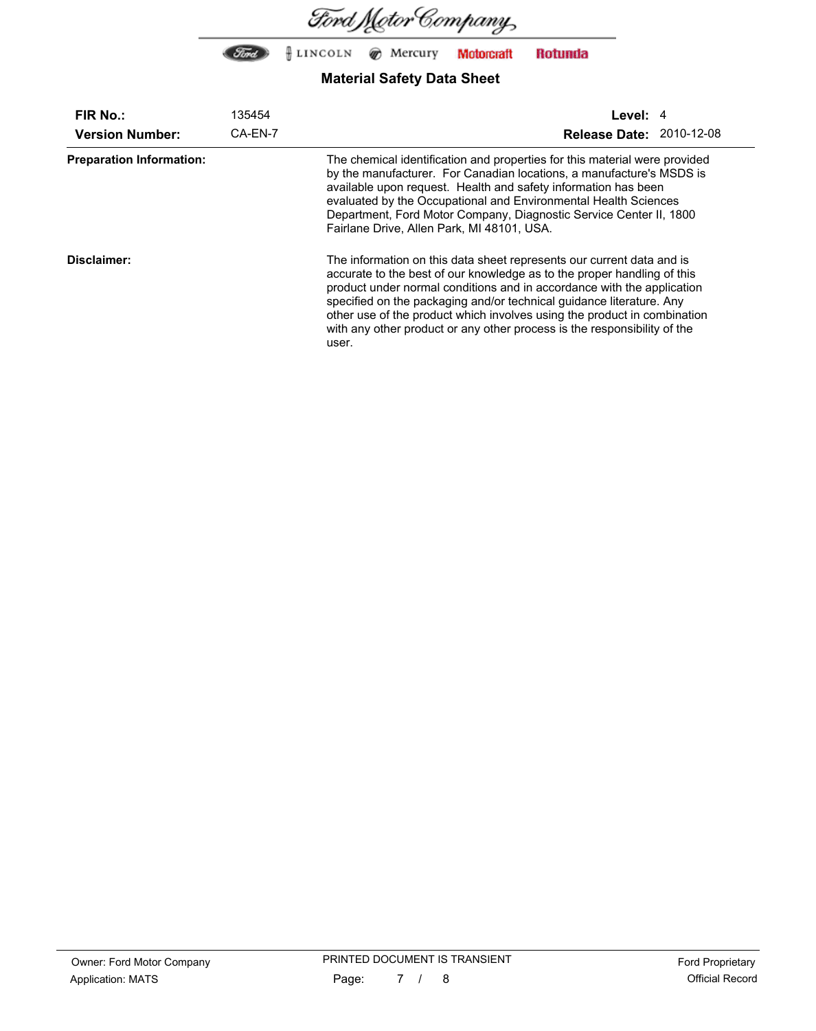

| <b>FIR No.:</b>                 | 135454  | Level: 4                                                                                                                                                                                                                                                                                                                                                                                                                                                            |  |  |
|---------------------------------|---------|---------------------------------------------------------------------------------------------------------------------------------------------------------------------------------------------------------------------------------------------------------------------------------------------------------------------------------------------------------------------------------------------------------------------------------------------------------------------|--|--|
| <b>Version Number:</b>          | CA-EN-7 | <b>Release Date: 2010-12-08</b>                                                                                                                                                                                                                                                                                                                                                                                                                                     |  |  |
| <b>Preparation Information:</b> |         | The chemical identification and properties for this material were provided<br>by the manufacturer. For Canadian locations, a manufacture's MSDS is<br>available upon request. Health and safety information has been<br>evaluated by the Occupational and Environmental Health Sciences<br>Department, Ford Motor Company, Diagnostic Service Center II, 1800<br>Fairlane Drive, Allen Park, MI 48101, USA.                                                         |  |  |
| Disclaimer:                     |         | The information on this data sheet represents our current data and is<br>accurate to the best of our knowledge as to the proper handling of this<br>product under normal conditions and in accordance with the application<br>specified on the packaging and/or technical guidance literature. Any<br>other use of the product which involves using the product in combination<br>with any other product or any other process is the responsibility of the<br>user. |  |  |